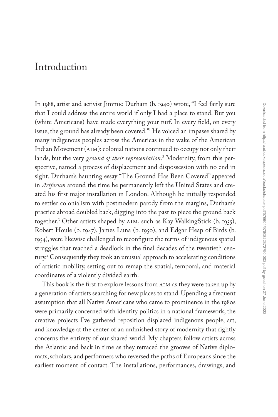## [Introduction](#page--1-0)

In 1988, artist and activist Jimmie Durham (b. 1940) wrote, "I feel fairly sure that I could address the entire world if only I had a place to stand. But you (white Americans) have made everything your turf. In every field, on every issue, the ground has already been covered."[1](#page--1-0) He voiced an impasse shared by many indigenous peoples across the Americas in the wake of the American Indian Movement (aim): colonial nations continued to occupy not only their lands, but the very *ground of their representation*. [2](#page--1-0) Modernity, from this perspective, named a process of displacement and dispossession with no end in sight. Durham's haunting essay "The Ground Has Been Covered" appeared in *Artforum* around the time he permanently left the United States and created his first major installation in London. Although he initially responded to settler colonialism with postmodern parody from the margins, Durham's practice abroad doubled back, digging into the past to piece the ground back together[.3](#page--1-0) Other artists shaped by aim, such as Kay WalkingStick (b. 1935), Robert Houle (b. 1947), James Luna (b. 1950), and Edgar Heap of Birds (b. 1954), were likewise challenged to reconfigure the terms of indigenous spatial struggles that reached a deadlock in the final decades of the twentieth century[.4](#page--1-0) Consequently they took an unusual approach to accelerating conditions of artistic mobility, setting out to remap the spatial, temporal, and material coordinates of a violently divided earth.

This book is the first to explore lessons from AIM as they were taken up by a generation of artists searching for new places to stand. Upending a frequent assumption that all Native Americans who came to prominence in the 1980s were primarily concerned with identity politics in a national framework, the creative projects I've gathered reposition displaced indigenous people, art, and knowledge at the center of an unfinished story of modernity that rightly concerns the entirety of our shared world. My chapters follow artists across the Atlantic and back in time as they retraced the grooves of Native diplomats, scholars, and performers who reversed the paths of Europeans since the earliest moment of contact. The installations, performances, drawings, and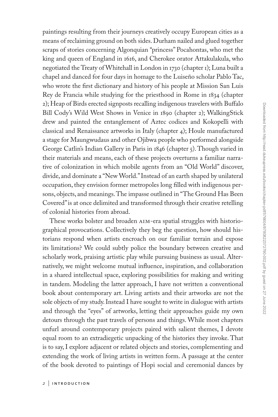paintings resulting from their journeys creatively occupy European cities as a means of reclaiming ground on both sides. Durham nailed and glued together scraps of stories concerning Algonquian "princess" Pocahontas, who met the king and queen of England in 1616, and Cherokee orator Attakulakula, who negotiated the Treaty of Whitehall in London in 1730 (chapter 1); Luna built a chapel and danced for four days in homage to the Luiseño scholar Pablo Tac, who wrote the first dictionary and history of his people at Mission San Luis Rey de Francia while studying for the priesthood in Rome in 1834 (chapter 2); Heap of Birds erected signposts recalling indigenous travelers with Buffalo Bill Cody's Wild West Shows in Venice in 1890 (chapter 2); WalkingStick drew and painted the entanglement of Aztec codices and Kokopelli with classical and Renaissance artworks in Italy (chapter 4); Houle manufactured a stage for Maungwudaus and other Ojibwa people who performed alongside George Catlin's Indian Gallery in Paris in 1846 (chapter 5). Though varied in their materials and means, each of these projects overturns a familiar narrative of colonization in which mobile agents from an "Old World" discover, divide, and dominate a "New World." Instead of an earth shaped by unilateral occupation, they envision former metropoles long filled with indigenous persons, objects, and meanings. The impasse outlined in "The Ground Has Been Covered" is at once delimited and transformed through their creative retelling of colonial histories from abroad.

These works bolster and broaden aim-era spatial struggles with historiographical provocations. Collectively they beg the question, how should historians respond when artists encroach on our familiar terrain and expose its limitations? We could subtly police the boundary between creative and scholarly work, praising artistic play while pursuing business as usual. Alternatively, we might welcome mutual influence, inspiration, and collaboration in a shared intellectual space, exploring possibilities for making and writing in tandem. Modeling the latter approach, I have not written a conventional book about contemporary art. Living artists and their artworks are not the sole objects of my study. Instead I have sought to write in dialogue with artists and through the "eyes" of artworks, letting their approaches guide my own detours through the past travels of persons and things. While most chapters unfurl around contemporary projects paired with salient themes, I devote equal room to an extradiegetic unpacking of the histories they invoke. That is to say, I explore adjacent or related objects and stories, complementing and extending the work of living artists in written form. A passage at the center of the book devoted to paintings of Hopi social and ceremonial dances by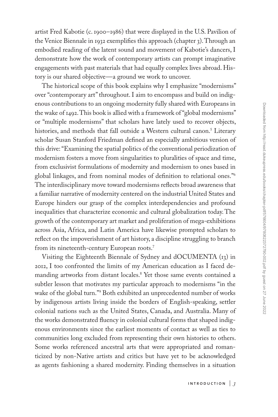artist Fred Kabotie (c. 1900–1986) that were displayed in the U.S. Pavilion of the Venice Biennale in 1932 exemplifies this approach (chapter 3). Through an embodied reading of the latent sound and movement of Kabotie's dancers, I demonstrate how the work of contemporary artists can prompt imaginative engagements with past materials that had equally complex lives abroad. History is our shared objective—a ground we work to uncover.

The historical scope of this book explains why I emphasize "modernisms" over "contemporary art" throughout. I aim to encompass and build on indigenous contributions to an ongoing modernity fully shared with Europeans in the wake of 1492. This book is allied with a framework of "global modernisms" or "multiple modernisms" that scholars have lately used to recover objects, histories, and methods that fall outside a Western cultural canon.<sup>[5](#page--1-0)</sup> Literary scholar Susan Stanford Friedman defined an especially ambitious version of this drive: "Examining the spatial politics of the conventional periodization of modernism fosters a move from singularities to pluralities of space and time, from exclusivist formulations of modernity and modernism to ones based in global linkages, and from nominal modes of definition to relational ones.["6](#page--1-0) The interdisciplinary move toward modernisms reflects broad awareness that a familiar narrative of modernity centered on the industrial United States and Europe hinders our grasp of the complex interdependencies and profound inequalities that characterize economic and cultural globalization today. The growth of the contemporary art market and proliferation of mega-exhibitions across Asia, Africa, and Latin America have likewise prompted scholars to reflect on the impoverishment of art history, a discipline struggling to branch from its nineteenth-century European roots.<sup>7</sup>

Visiting the Eighteenth Biennale of Sydney and dOCUMENTA (13) in 2012, I too confronted the limits of my American education as I faced demanding artworks from distant locales.[8](#page--1-0) Yet those same events contained a subtler lesson that motivates my particular approach to modernisms "in the wake of the global turn.["9](#page--1-0) Both exhibited an unprecedented number of works by indigenous artists living inside the borders of English-speaking, settler colonial nations such as the United States, Canada, and Australia. Many of the works demonstrated fluency in colonial cultural forms that shaped indigenous environments since the earliest moments of contact as well as ties to communities long excluded from representing their own histories to others. Some works referenced ancestral arts that were appropriated and romanticized by non-Native artists and critics but have yet to be acknowledged as agents fashioning a shared modernity. Finding themselves in a situation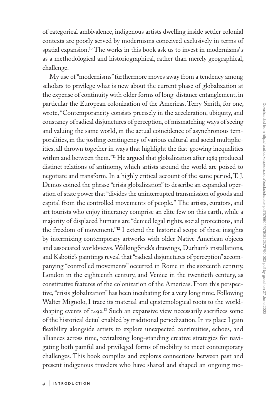of categorical ambivalence, indigenous artists dwelling inside settler colonial contexts are poorly served by modernisms conceived exclusively in terms of spatial expansion[.10](#page--1-0) The works in this book ask us to invest in modernisms' *s* as a methodological and historiographical, rather than merely geographical, challenge.

My use of "modernisms" furthermore moves away from a tendency among scholars to privilege what is new about the current phase of globalization at the expense of continuity with older forms of long-distance entanglement, in particular the European colonization of the Americas. Terry Smith, for one, wrote, "Contemporaneity consists precisely in the acceleration, ubiquity, and constancy of radical disjunctures of perception, of mismatching ways of seeing and valuing the same world, in the actual coincidence of asynchronous temporalities, in the jostling contingency of various cultural and social multiplicities, all thrown together in ways that highlight the fast-growing inequalities within and between them."<sup>11</sup> He argued that globalization after 1989 produced distinct relations of antinomy, which artists around the world are poised to negotiate and transform. In a highly critical account of the same period, T. J. Demos coined the phrase "crisis globalization" to describe an expanded operation of state power that "divides the uninterrupted transmission of goods and capital from the controlled movements of people." The artists, curators, and art tourists who enjoy itinerancy comprise an elite few on this earth, while a majority of displaced humans are "denied legal rights, social protections, and the freedom of movement.["12](#page--1-0) I extend the historical scope of these insights by intermixing contemporary artworks with older Native American objects and associated worldviews. WalkingStick's drawings, Durham's installations, and Kabotie's paintings reveal that "radical disjunctures of perception" accompanying "controlled movements" occurred in Rome in the sixteenth century, London in the eighteenth century, and Venice in the twentieth century, as constitutive features of the colonization of the Americas. From this perspective, "crisis globalization" has been incubating for a very long time. Following Walter Mignolo, I trace its material and epistemological roots to the worldshaping events of 1492.<sup>13</sup> Such an expansive view necessarily sacrifices some of the historical detail enabled by traditional periodization. In its place I gain flexibility alongside artists to explore unexpected continuities, echoes, and alliances across time, revitalizing long-standing creative strategies for navigating both painful and privileged forms of mobility to meet contemporary challenges. This book compiles and explores connections between past and present indigenous travelers who have shared and shaped an ongoing mo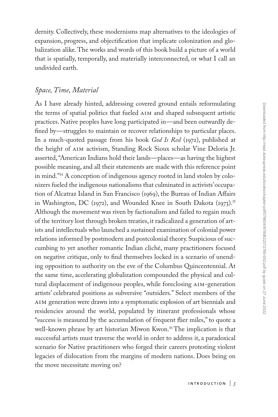dernity. Collectively, these modernisms map alternatives to the ideologies of expansion, progress, and objectification that implicate colonization and globalization alike. The works and words of this book build a picture of a world that is spatially, temporally, and materially interconnected, or what I call an undivided earth.

## *Space, Time, Material*

As I have already hinted, addressing covered ground entails reformulating the terms of spatial politics that fueled aim and shaped subsequent artistic practices. Native peoples have long participated in—and been outwardly defined by—struggles to maintain or recover relationships to particular places. In a much-quoted passage from his book *God Is Red* (1972), published at the height of aim activism, Standing Rock Sioux scholar Vine Deloria Jr. asserted, "American Indians hold their lands—places—as having the highest possible meaning, and all their statements are made with this reference point in mind."[14](#page--1-0) A conception of indigenous agency rooted in land stolen by colonizers fueled the indigenous nationalisms that culminated in activists' occupation of Alcatraz Island in San Francisco (1969), the Bureau of Indian Affairs in Washington, DC (1972), and Wounded Knee in South Dakota (1973).<sup>15</sup> Although the movement was riven by factionalism and failed to regain much of the territory lost through broken treaties, it radicalized a generation of artists and intellectuals who launched a sustained examination of colonial power relations informed by postmodern and postcolonial theory. Suspicious of succumbing to yet another romantic Indian cliché, many practitioners focused on negative critique, only to find themselves locked in a scenario of unending opposition to authority on the eve of the Columbus Quincentennial. At the same time, accelerating globalization compounded the physical and cultural displacement of indigenous peoples, while foreclosing AIM-generation artists' celebrated positions as subversive "outsiders." Select members of the AIM generation were drawn into a symptomatic explosion of art biennials and residencies around the world, populated by itinerant professionals whose "success is measured by the accumulation of frequent flier miles," to quote a well-known phrase by art historian Miwon Kwon.<sup>[16](#page--1-0)</sup> The implication is that successful artists must traverse the world in order to address it, a paradoxical scenario for Native practitioners who forged their careers protesting violent legacies of dislocation from the margins of modern nations. Does being on the move necessitate moving on?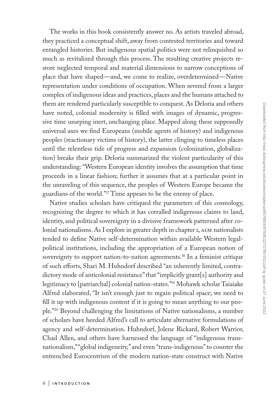The works in this book consistently answer no. As artists traveled abroad, they practiced a conceptual shift, away from contested territories and toward entangled histories. But indigenous spatial politics were not relinquished so much as revitalized through this process. The resulting creative projects restore neglected temporal and material dimensions to narrow conceptions of place that have shaped—and, we come to realize, overdetermined—Native representation under conditions of occupation. When severed from a larger complex of indigenous ideas and practices, places and the humans attached to them are rendered particularly susceptible to conquest. As Deloria and others have noted, colonial modernity is filled with images of dynamic, progressive time usurping inert, unchanging place. Mapped along these supposedly universal axes we find Europeans (mobile agents of history) and indigenous peoples (reactionary victims of history), the latter clinging to timeless places until the relentless tide of progress and expansion (colonization, globalization) breaks their grip. Deloria summarized the violent particularity of this understanding: "Western European identity involves the assumption that time proceeds in a linear fashion; further it assumes that at a particular point in the unraveling of this sequence, the peoples of Western Europe became the guardians of the world."[17](#page--1-0) Time appears to be the enemy of place.

Native studies scholars have critiqued the parameters of this cosmology, recognizing the degree to which it has corralled indigenous claims to land, identity, and political sovereignty in a divisive framework patterned after colonial nationalisms. As I explore in greater depth in chapter 1, AIM nationalists tended to define Native self-determination within available Western legalpolitical institutions, including the appropriation of a European notion of sovereignty to support nation-to-nation agreements.<sup>18</sup> In a feminist critique of such efforts, Shari M. Huhndorf described "an inherently limited, contradictory mode of anticolonial resistance" that "implicitly grant[s] authority and legitimacy to [patriarchal] colonial nation-states."[19](#page--1-0) Mohawk scholar Taiaiake Alfred elaborated, "It isn't enough just to regain political space; we need to fill it up with indigenous content if it is going to mean anything to our people."[20](#page--1-0) Beyond challenging the limitations of Native nationalisms, a number of scholars have heeded Alfred's call to articulate alternative formulations of agency and self-determination. Huhndorf, Jolene Rickard, Robert Warrior, Chad Allen, and others have harnessed the language of "indigenous transnationalism," "global indigeneity," and even "trans-indigenous" to counter the entrenched Eurocentrism of the modern nation-state construct with Native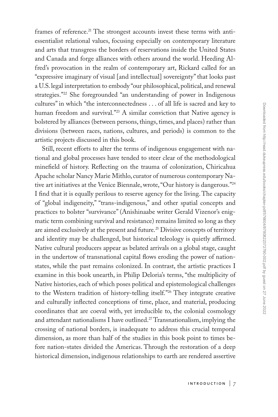frames of reference.<sup>21</sup> The strongest accounts invest these terms with antiessentialist relational values, focusing especially on contemporary literature and arts that transgress the borders of reservations inside the United States and Canada and forge alliances with others around the world. Heeding Alfred's provocation in the realm of contemporary art, Rickard called for an "expressive imaginary of visual [and intellectual] sovereignty" that looks past a U.S. legal interpretation to embody "our philosophical, political, and renewal strategies."[22](#page--1-0) She foregrounded "an understanding of power in Indigenous cultures" in which "the interconnectedness . . . of all life is sacred and key to human freedom and survival."<sup>23</sup> A similar conviction that Native agency is bolstered by alliances (between persons, things, times, and places) rather than divisions (between races, nations, cultures, and periods) is common to the artistic projects discussed in this book.

Still, recent efforts to alter the terms of indigenous engagement with national and global processes have tended to steer clear of the methodological minefield of history. Reflecting on the trauma of colonization, Chiricahua Apache scholar Nancy Marie Mithlo, curator of numerous contemporary Native art initiatives at the Venice Biennale, wrote, "Our history is dangerous.["24](#page--1-0) I find that it is equally perilous to reserve agency for the living. The capacity of "global indigeneity," "trans-indigenous," and other spatial concepts and practices to bolster "survivance" (Anishinaabe writer Gerald Vizenor's enigmatic term combining survival and resistance) remains limited so long as they are aimed exclusively at the present and future.<sup>25</sup> Divisive concepts of territory and identity may be challenged, but historical teleology is quietly affirmed. Native cultural producers appear as belated arrivals on a global stage, caught in the undertow of transnational capital flows eroding the power of nationstates, while the past remains colonized. In contrast, the artistic practices I examine in this book unearth, in Philip Deloria's terms, "the multiplicity of Native histories, each of which poses political and epistemological challenges to the Western tradition of history-telling itself."[26](#page--1-0) They integrate creative and culturally inflected conceptions of time, place, and material, producing coordinates that are coeval with, yet irreducible to, the colonial cosmology and attendant nationalisms I have outlined.<sup>27</sup> Transnationalism, implying the crossing of national borders, is inadequate to address this crucial temporal dimension, as more than half of the studies in this book point to times before nation-states divided the Americas. Through the restoration of a deep historical dimension, indigenous relationships to earth are rendered assertive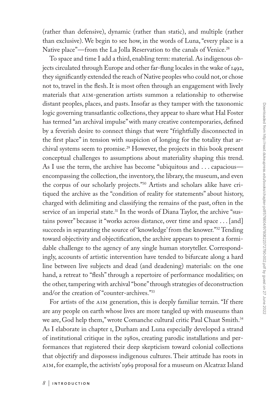(rather than defensive), dynamic (rather than static), and multiple (rather than exclusive). We begin to see how, in the words of Luna, "every place is a Native place"—from the La Jolla Reservation to the canals of Venice.<sup>28</sup>

To space and time I add a third, enabling term: material. As indigenous objects circulated through Europe and other far-flung locales in the wake of 1492, they significantly extended the reach of Native peoples who could not, or chose not to, travel in the flesh. It is most often through an engagement with lively materials that AIM-generation artists summon a relationship to otherwise distant peoples, places, and pasts. Insofar as they tamper with the taxonomic logic governing transatlantic collections, they appear to share what Hal Foster has termed "an archival impulse" with many creative contemporaries, defined by a feverish desire to connect things that were "frightfully disconnected in the first place" in tension with suspicion of longing for the totality that archival systems seem to promise[.29](#page--1-0) However, the projects in this book present conceptual challenges to assumptions about materiality shaping this trend. As I use the term, the archive has become "ubiquitous and . . . capacious encompassing the collection, the inventory, the library, the museum, and even the corpus of our scholarly projects."[30](#page--1-0) Artists and scholars alike have critiqued the archive as the "condition of reality for statements" about history, charged with delimiting and classifying the remains of the past, often in the service of an imperial state.<sup>31</sup> In the words of Diana Taylor, the archive "sustains power" because it "works across distance, over time and space . . . [and] succeeds in separating the source of 'knowledge' from the knower."<sup>32</sup> Tending toward objectivity and objectification, the archive appears to present a formidable challenge to the agency of any single human storyteller. Correspondingly, accounts of artistic intervention have tended to bifurcate along a hard line between live subjects and dead (and deadening) materials: on the one hand, a retreat to "flesh" through a repertoire of performance modalities; on the other, tampering with archival "bone" through strategies of deconstruction and/or the creation of "counter-archives.["33](#page--1-0)

For artists of the aim generation, this is deeply familiar terrain. "If there are any people on earth whose lives are more tangled up with museums than we are, God help them," wrote Comanche cultural critic Paul Chaat Smith.<sup>[34](#page--1-0)</sup> As I elaborate in chapter 1, Durham and Luna especially developed a strand of institutional critique in the 1980s, creating parodic installations and performances that registered their deep skepticism toward colonial collections that objectify and dispossess indigenous cultures. Their attitude has roots in aim, for example, the activists' 1969 proposal for a museum on Alcatraz Island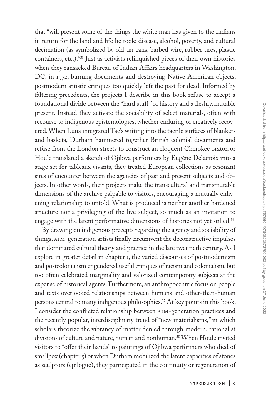that "will present some of the things the white man has given to the Indians in return for the land and life he took: disease, alcohol, poverty, and cultural decimation (as symbolized by old tin cans, barbed wire, rubber tires, plastic containers, etc.)."[35](#page--1-0) Just as activists relinquished pieces of their own histories when they ransacked Bureau of Indian Affairs headquarters in Washington, DC, in 1972, burning documents and destroying Native American objects, postmodern artistic critiques too quickly left the past for dead. Informed by faltering precedents, the projects I describe in this book refuse to accept a foundational divide between the "hard stuff" of history and a fleshly, mutable present. Instead they activate the sociability of select materials, often with recourse to indigenous epistemologies, whether enduring or creatively recovered. When Luna integrated Tac's writing into the tactile surfaces of blankets and baskets, Durham hammered together British colonial documents and refuse from the London streets to construct an eloquent Cherokee orator, or Houle translated a sketch of Ojibwa performers by Eugène Delacroix into a stage set for tableaux vivants, they treated European collections as resonant sites of encounter between the agencies of past and present subjects and objects. In other words, their projects make the transcultural and transmutable dimensions of the archive palpable to visitors, encouraging a mutually enlivening relationship to unfold. What is produced is neither another hardened structure nor a privileging of the live subject, so much as an invitation to engage with the latent performative dimensions of histories not yet stilled.<sup>[36](#page--1-0)</sup>

By drawing on indigenous precepts regarding the agency and sociability of things, AIM-generation artists finally circumvent the deconstructive impulses that dominated cultural theory and practice in the late twentieth century. As I explore in greater detail in chapter 1, the varied discourses of postmodernism and postcolonialism engendered useful critiques of racism and colonialism, but too often celebrated marginality and valorized contemporary subjects at the expense of historical agents. Furthermore, an anthropocentric focus on people and texts overlooked relationships between humans and other-than-human persons central to many indigenous philosophies.<sup>37</sup> At key points in this book, I consider the conflicted relationship between aim-generation practices and the recently popular, interdisciplinary trend of "new materialisms," in which scholars theorize the vibrancy of matter denied through modern, rationalist divisions of culture and nature, human and nonhuman.<sup>38</sup> When Houle invited visitors to "offer their hands" to paintings of Ojibwa performers who died of  $s$ mallpox (chapter  $\varsigma$ ) or when Durham mobilized the latent capacities of stones as sculptors (epilogue), they participated in the continuity or regeneration of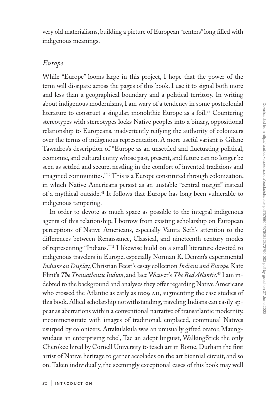very old materialisms, building a picture of European "centers" long filled with indigenous meanings.

## *Europe*

While "Europe" looms large in this project, I hope that the power of the term will dissipate across the pages of this book. I use it to signal both more and less than a geographical boundary and a political territory. In writing about indigenous modernisms, I am wary of a tendency in some postcolonial literature to construct a singular, monolithic Europe as a foil.<sup>39</sup> Countering stereotypes with stereotypes locks Native peoples into a binary, oppositional relationship to Europeans, inadvertently reifying the authority of colonizers over the terms of indigenous representation. A more useful variant is Gilane Tawadros's description of "Europe as an unsettled and fluctuating political, economic, and cultural entity whose past, present, and future can no longer be seen as settled and secure, nestling in the comfort of invented traditions and imagined communities."[40](#page--1-0) This is a Europe constituted through colonization, in which Native Americans persist as an unstable "central margin" instead of a mythical outside.[41](#page--1-0) It follows that Europe has long been vulnerable to indigenous tampering.

In order to devote as much space as possible to the integral indigenous agents of this relationship, I borrow from existing scholarship on European perceptions of Native Americans, especially Vanita Seth's attention to the differences between Renaissance, Classical, and nineteenth-century modes of representing "Indians.["42](#page--1-0) I likewise build on a small literature devoted to indigenous travelers in Europe, especially Norman K. Denzin's experimental *Indians on Displa*y, Christian Feest's essay collection *Indians and Europe*, Kate Flint's *The Transatlantic Indian*, and Jace Weaver's *The Red Atlantic*. [43](#page--1-0) I am indebted to the background and analyses they offer regarding Native Americans who crossed the Atlantic as early as 1009 AD, augmenting the case studies of this book. Allied scholarship notwithstanding, traveling Indians can easily appear as aberrations within a conventional narrative of transatlantic modernity, incommensurate with images of traditional, emplaced, communal Natives usurped by colonizers. Attakulakula was an unusually gifted orator, Maungwudaus an enterprising rebel, Tac an adept linguist, WalkingStick the only Cherokee hired by Cornell University to teach art in Rome, Durham the first artist of Native heritage to garner accolades on the art biennial circuit, and so on. Taken individually, the seemingly exceptional cases of this book may well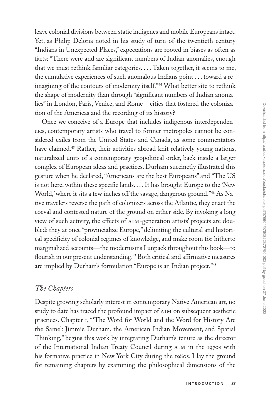leave colonial divisions between static indigenes and mobile Europeans intact. Yet, as Philip Deloria noted in his study of turn-of-the-twentieth-century "Indians in Unexpected Places," expectations are rooted in biases as often as facts: "There were and are significant numbers of Indian anomalies, enough that we must rethink familiar categories. . . . Taken together, it seems to me, the cumulative experiences of such anomalous Indians point . . . toward a reimagining of the contours of modernity itself."<sup>44</sup> What better site to rethink the shape of modernity than through "significant numbers of Indian anomalies" in London, Paris, Venice, and Rome—cities that fostered the colonization of the Americas and the recording of its history?

Once we conceive of a Europe that includes indigenous interdependencies, contemporary artists who travel to former metropoles cannot be considered exiles from the United States and Canada, as some commentators have claimed.<sup>[45](#page--1-0)</sup> Rather, their activities abroad knit relatively young nations, naturalized units of a contemporary geopolitical order, back inside a larger complex of European ideas and practices. Durham succinctly illustrated this gesture when he declared, "Americans are the best Europeans" and "The US is not here, within these specific lands. . . . It has brought Europe to the 'New World,' where it sits a few inches off the savage, dangerous ground.["46](#page--1-0) As Native travelers reverse the path of colonizers across the Atlantic, they enact the coeval and contested nature of the ground on either side. By invoking a long view of such activity, the effects of aim-generation artists' projects are doubled: they at once "provincialize Europe," delimiting the cultural and historical specificity of colonial regimes of knowledge, and make room for hitherto marginalized accounts—the modernisms I unpack throughout this book—to flourish in our present understanding.<sup>47</sup> Both critical and affirmative measures are implied by Durham's formulation "Europe is an Indian project."[48](#page--1-0)

## *The Chapters*

Despite growing scholarly interest in contemporary Native American art, no study to date has traced the profound impact of aim on subsequent aesthetic practices. Chapter 1, "'The Word for World and the Word for History Are the Same': Jimmie Durham, the American Indian Movement, and Spatial Thinking," begins this work by integrating Durham's tenure as the director of the International Indian Treaty Council during aim in the 1970s with his formative practice in New York City during the 1980s. I lay the ground for remaining chapters by examining the philosophical dimensions of the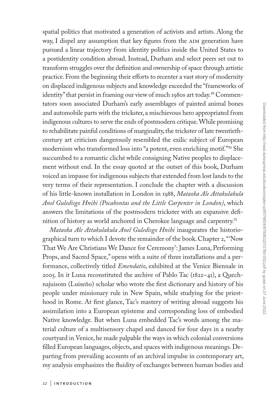spatial politics that motivated a generation of activists and artists. Along the way, I dispel any assumption that key figures from the AIM generation have pursued a linear trajectory from identity politics inside the United States to a postidentity condition abroad. Instead, Durham and select peers set out to transform struggles over the definition and ownership of space through artistic practice. From the beginning their efforts to recenter a vast story of modernity on displaced indigenous subjects and knowledge exceeded the "frameworks of identity" that persist in framing our view of much 1980s art today.<sup>49</sup> Commentators soon associated Durham's early assemblages of painted animal bones and automobile parts with the trickster, a mischievous hero appropriated from indigenous cultures to serve the ends of postmodern critique. While promising to rehabilitate painful conditions of marginality, the trickster of late twentiethcentury art criticism dangerously resembled the exilic subject of European modernism who transformed loss into "a potent, even enriching motif."[50](#page--1-0) She succumbed to a romantic cliché while consigning Native peoples to displacement without end. In the essay quoted at the outset of this book, Durham voiced an impasse for indigenous subjects that extended from lost lands to the very terms of their representation. I conclude the chapter with a discussion of his little-known installation in London in 1988, *Mataoka Ale Attakulakula Anel Guledisgo Hnihi (Pocahontas and the Little Carpenter in London)*, which answers the limitations of the postmodern trickster with an expansive definition of history as world anchored in Cherokee language and carpentry.<sup>51</sup>

*Mataoka Ale Attakulakula Anel Guledisgo Hnihi* inaugurates the historiographical turn to which I devote the remainder of the book. Chapter 2, "'Now That We Are Christians We Dance for Ceremony': James Luna, Performing Props, and Sacred Space," opens with a suite of three installations and a performance, collectively titled *Emendatio*, exhibited at the Venice Biennale in 2005. In it Luna reconstituted the archive of Pablo Tac ( $1822-41$ ), a Quechnajuisom (Luiseño) scholar who wrote the first dictionary and history of his people under missionary rule in New Spain, while studying for the priesthood in Rome. At first glance, Tac's mastery of writing abroad suggests his assimilation into a European episteme and corresponding loss of embodied Native knowledge. But when Luna embedded Tac's words among the material culture of a multisensory chapel and danced for four days in a nearby courtyard in Venice, he made palpable the ways in which colonial conversions filled European languages, objects, and spaces with indigenous meanings. Departing from prevailing accounts of an archival impulse in contemporary art, my analysis emphasizes the fluidity of exchanges between human bodies and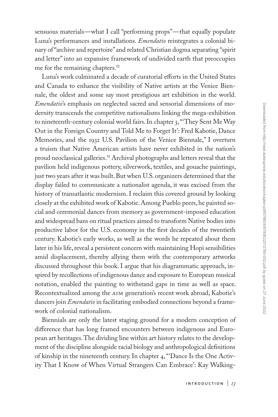sensuous materials—what I call "performing props"—that equally populate Luna's performances and installations. *Emendatio* reintegrates a colonial binary of "archive and repertoire" and related Christian dogma separating "spirit and letter" into an expansive framework of undivided earth that preoccupies me for the remaining chapters.[52](#page--1-0)

Luna's work culminated a decade of curatorial efforts in the United States and Canada to enhance the visibility of Native artists at the Venice Biennale, the oldest and some say most prestigious art exhibition in the world. *Emendatio*'s emphasis on neglected sacred and sensorial dimensions of modernity transcends the competitive nationalisms linking the mega-exhibition to nineteenth-century colonial world fairs. In chapter 3, "'They Sent Me Way Out in the Foreign Country and Told Me to Forget It': Fred Kabotie, Dance Memories, and the 1932 U.S. Pavilion of the Venice Biennale," I overturn a truism that Native American artists have never exhibited in the nation's proud neoclassical galleries.<sup>53</sup> Archival photographs and letters reveal that the pavilion held indigenous pottery, silverwork, textiles, and gouache paintings, just two years after it was built. But when U.S. organizers determined that the display failed to communicate a nationalist agenda, it was excised from the history of transatlantic modernism. I reclaim this covered ground by looking closely at the exhibited work of Kabotie. Among Pueblo peers, he painted social and ceremonial dances from memory as government-imposed education and widespread bans on ritual practices aimed to transform Native bodies into productive labor for the U.S. economy in the first decades of the twentieth century. Kabotie's early works, as well as the words he repeated about them later in his life, reveal a persistent concern with maintaining Hopi sensibilities amid displacement, thereby allying them with the contemporary artworks discussed throughout this book. I argue that his diagrammatic approach, inspired by recollections of indigenous dance and exposure to European musical notation, enabled the painting to withstand gaps in time as well as space. Recontextualized among the aim generation's recent work abroad, Kabotie's dancers join *Emendatio* in facilitating embodied connections beyond a framework of colonial nationalism.

Biennials are only the latest staging ground for a modern conception of difference that has long framed encounters between indigenous and European art heritages. The dividing line within art history relates to the development of the discipline alongside racial biology and anthropological definitions of kinship in the nineteenth century. In chapter 4, "'Dance Is the One Activity That I Know of When Virtual Strangers Can Embrace': Kay Walking-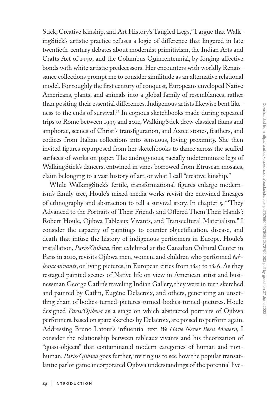Stick, Creative Kinship, and Art History's Tangled Legs," I argue that WalkingStick's artistic practice refuses a logic of difference that lingered in late twentieth-century debates about modernist primitivism, the Indian Arts and Crafts Act of 1990, and the Columbus Quincentennial, by forging affective bonds with white artistic predecessors. Her encounters with worldly Renaissance collections prompt me to consider similitude as an alternative relational model. For roughly the first century of conquest, Europeans enveloped Native Americans, plants, and animals into a global family of resemblances, rather than positing their essential differences. Indigenous artists likewise bent likeness to the ends of survival.<sup>54</sup> In copious sketchbooks made during repeated trips to Rome between 1999 and 2012, WalkingStick drew classical fauns and amphorae, scenes of Christ's transfiguration, and Aztec stones, feathers, and codices from Italian collections into sensuous, loving proximity. She then invited figures repurposed from her sketchbooks to dance across the scuffed surfaces of works on paper. The androgynous, racially indeterminate legs of WalkingStick's dancers, entwined in vines borrowed from Etruscan mosaics, claim belonging to a vast history of art, or what I call "creative kinship."

While WalkingStick's fertile, transformational figures enlarge modernism's family tree, Houle's mixed-media works revisit the entwined lineages of ethnography and abstraction to tell a survival story. In chapter 5, "'They Advanced to the Portraits of Their Friends and Offered Them Their Hands': Robert Houle, Ojibwa Tableaux Vivants, and Transcultural Materialism," I consider the capacity of paintings to counter objectification, disease, and death that infuse the history of indigenous performers in Europe. Houle's installation, *Paris/Ojibwa*, first exhibited at the Canadian Cultural Center in Paris in 2010, revisits Ojibwa men, women, and children who performed *tableaux vivants*, or living pictures, in European cities from 1845 to 1846. As they restaged painted scenes of Native life on view in American artist and businessman George Catlin's traveling Indian Gallery, they were in turn sketched and painted by Catlin, Eugène Delacroix, and others, generating an unsettling chain of bodies-turned-pictures-turned-bodies-turned-pictures. Houle designed *Paris/Ojibwa* as a stage on which abstracted portraits of Ojibwa performers, based on spare sketches by Delacroix, are poised to perform again. Addressing Bruno Latour's influential text *We Have Never Been Modern,* I consider the relationship between tableaux vivants and his theorization of "quasi-objects" that contaminated modern categories of human and nonhuman. *Paris/Ojibwa* goes further, inviting us to see how the popular transatlantic parlor game incorporated Ojibwa understandings of the potential live-